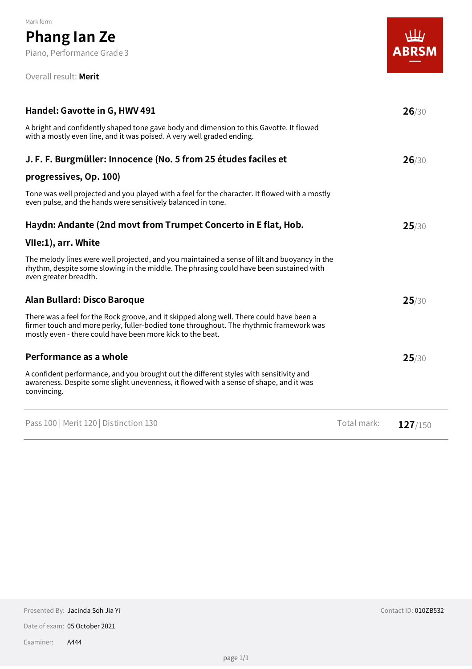#### Overall result: **Merit**

| Handel: Gavotte in G, HWV 491                                                                                                                                                                                                                    |             | 26/30   |
|--------------------------------------------------------------------------------------------------------------------------------------------------------------------------------------------------------------------------------------------------|-------------|---------|
| A bright and confidently shaped tone gave body and dimension to this Gavotte. It flowed<br>with a mostly even line, and it was poised. A very well graded ending.                                                                                |             |         |
| J. F. F. Burgmüller: Innocence (No. 5 from 25 études faciles et                                                                                                                                                                                  |             | 26/30   |
| progressives, Op. 100)                                                                                                                                                                                                                           |             |         |
| Tone was well projected and you played with a feel for the character. It flowed with a mostly<br>even pulse, and the hands were sensitively balanced in tone.                                                                                    |             |         |
| Haydn: Andante (2nd movt from Trumpet Concerto in E flat, Hob.                                                                                                                                                                                   |             | 25/30   |
| VIIe:1), arr. White                                                                                                                                                                                                                              |             |         |
| The melody lines were well projected, and you maintained a sense of lilt and buoyancy in the<br>rhythm, despite some slowing in the middle. The phrasing could have been sustained with<br>even greater breadth.                                 |             |         |
| Alan Bullard: Disco Baroque                                                                                                                                                                                                                      |             | 25/30   |
| There was a feel for the Rock groove, and it skipped along well. There could have been a<br>firmer touch and more perky, fuller-bodied tone throughout. The rhythmic framework was<br>mostly even - there could have been more kick to the beat. |             |         |
| Performance as a whole                                                                                                                                                                                                                           |             | 25/30   |
| A confident performance, and you brought out the different styles with sensitivity and<br>awareness. Despite some slight unevenness, it flowed with a sense of shape, and it was<br>convincing.                                                  |             |         |
| Pass 100   Merit 120   Distinction 130                                                                                                                                                                                                           | Total mark: | 127/150 |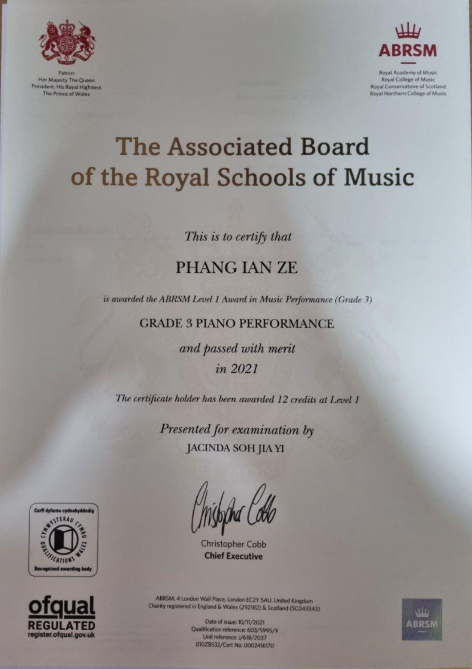

Patron Her Majesty The Queen **President: His Royal Highness** The Prince of Wales



Royal Academy of Music **Royal College of Music** Royal Conservatoire of Scotland Royal Northern College of Music

# **The Associated Board** of the Royal Schools of Music

This is to certify that

## **PHANG IAN ZE**

is awarded the ABRSM Level 1 Award in Music Performance (Grade 3)

**GRADE 3 PIANO PERFORMANCE** 

and passed with merit in 2021

The certificate holder has been awarded 12 credits at Level 1

Presented for examination by **JACINDA SOH JIA YI** 





**Christopher Cobb Chief Executive** 



ABRSM, 4 London Wall Place, London EC2Y SAU, United Kingdom Charity registered in England & Wales (292182) & Scotland (SCO43343)

> Date of issue: 10/11/2021 Qualification reference: 603/5995/X Unit reference: J/618/2037 0102B532/Cert No: 0002416170